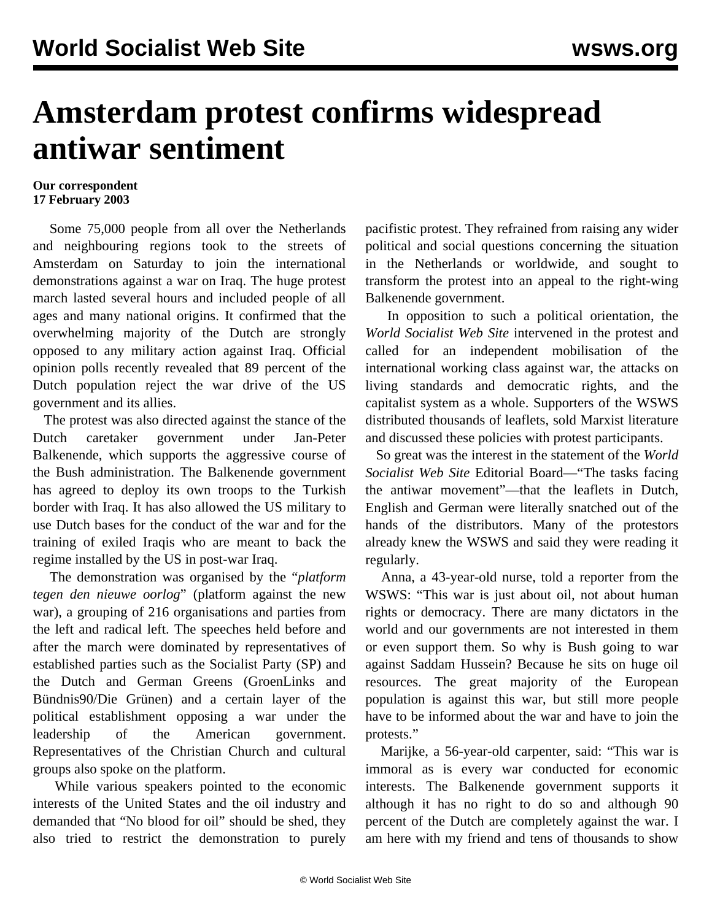## **Amsterdam protest confirms widespread antiwar sentiment**

## **Our correspondent 17 February 2003**

 Some 75,000 people from all over the Netherlands and neighbouring regions took to the streets of Amsterdam on Saturday to join the international demonstrations against a war on Iraq. The huge protest march lasted several hours and included people of all ages and many national origins. It confirmed that the overwhelming majority of the Dutch are strongly opposed to any military action against Iraq. Official opinion polls recently revealed that 89 percent of the Dutch population reject the war drive of the US government and its allies.

 The protest was also directed against the stance of the Dutch caretaker government under Jan-Peter Balkenende, which supports the aggressive course of the Bush administration. The Balkenende government has agreed to deploy its own troops to the Turkish border with Iraq. It has also allowed the US military to use Dutch bases for the conduct of the war and for the training of exiled Iraqis who are meant to back the regime installed by the US in post-war Iraq.

 The demonstration was organised by the "*platform tegen den nieuwe oorlog*" (platform against the new war), a grouping of 216 organisations and parties from the left and radical left. The speeches held before and after the march were dominated by representatives of established parties such as the Socialist Party (SP) and the Dutch and German Greens (GroenLinks and Bündnis90/Die Grünen) and a certain layer of the political establishment opposing a war under the leadership of the American government. Representatives of the Christian Church and cultural groups also spoke on the platform.

 While various speakers pointed to the economic interests of the United States and the oil industry and demanded that "No blood for oil" should be shed, they also tried to restrict the demonstration to purely pacifistic protest. They refrained from raising any wider political and social questions concerning the situation in the Netherlands or worldwide, and sought to transform the protest into an appeal to the right-wing Balkenende government.

 In opposition to such a political orientation, the *World Socialist Web Site* intervened in the protest and called for an independent mobilisation of the international working class against war, the attacks on living standards and democratic rights, and the capitalist system as a whole. Supporters of the WSWS distributed thousands of leaflets, sold Marxist literature and discussed these policies with protest participants.

 So great was the interest in the statement of the *World Socialist Web Site* Editorial Board—"The tasks facing the antiwar movement"—that the leaflets in Dutch, English and German were literally snatched out of the hands of the distributors. Many of the protestors already knew the WSWS and said they were reading it regularly.

 Anna, a 43-year-old nurse, told a reporter from the WSWS: "This war is just about oil, not about human rights or democracy. There are many dictators in the world and our governments are not interested in them or even support them. So why is Bush going to war against Saddam Hussein? Because he sits on huge oil resources. The great majority of the European population is against this war, but still more people have to be informed about the war and have to join the protests."

 Marijke, a 56-year-old carpenter, said: "This war is immoral as is every war conducted for economic interests. The Balkenende government supports it although it has no right to do so and although 90 percent of the Dutch are completely against the war. I am here with my friend and tens of thousands to show